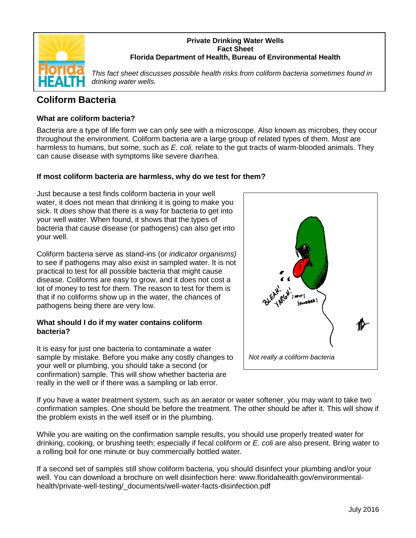

### **Private Drinking Water Wells Fact Sheet Florida Department of Health, Bureau of Environmental Health**

*This fact sheet discusses possible health risks from coliform bacteria sometimes found in drinking water wells.* 

# **Coliform Bacteria**

## **What are coliform bacteria?**

Bacteria are a type of life form we can only see with a microscope. Also known as microbes, they occur throughout the environment. Coliform bacteria are a large group of related types of them. Most are harmless to humans, but some, such as *E. coli,* relate to the gut tracts of warm-blooded animals. They can cause disease with symptoms like severe diarrhea.

## **If most coliform bacteria are harmless, why do we test for them?**

Just because a test finds coliform bacteria in your well water, it does not mean that drinking it is going to make you sick. It *does* show that there is a way for bacteria to get into your well water. When found, it shows that the types of bacteria that cause disease (or pathogens) can also get into your well.

Coliform bacteria serve as stand-ins (or *indicator organisms)*  to see if pathogens may also exist in sampled water. It is not practical to test for all possible bacteria that might cause disease. Coliforms are easy to grow, and it does not cost a lot of money to test for them. The reason to test for them is that if no coliforms show up in the water, the chances of pathogens being there are very low.

#### **What should I do if my water contains coliform bacteria?**

It is easy for just one bacteria to contaminate a water sample by mistake. Before you make any costly changes to your well or plumbing, you should take a second (or confirmation) sample. This will show whether bacteria are really in the well or if there was a sampling or lab error.



If you have a water treatment system, such as an aerator or water softener, you may want to take two confirmation samples. One should be before the treatment. The other should be after it. This will show if the problem exists in the well itself or in the plumbing.

While you are waiting on the confirmation sample results, you should use properly treated water for drinking, cooking, or brushing teeth; especially if fecal coliform or *E. coli* are also present. Bring water to a rolling boil for one minute or buy commercially bottled water.

If a second set of samples still show coliform bacteria, you should disinfect your plumbing and/or your well. You can download a brochure on well disinfection here: www.floridahealth.gov/environmentalhealth/private-well-testing/\_documents/well-water-facts-disinfection.pdf